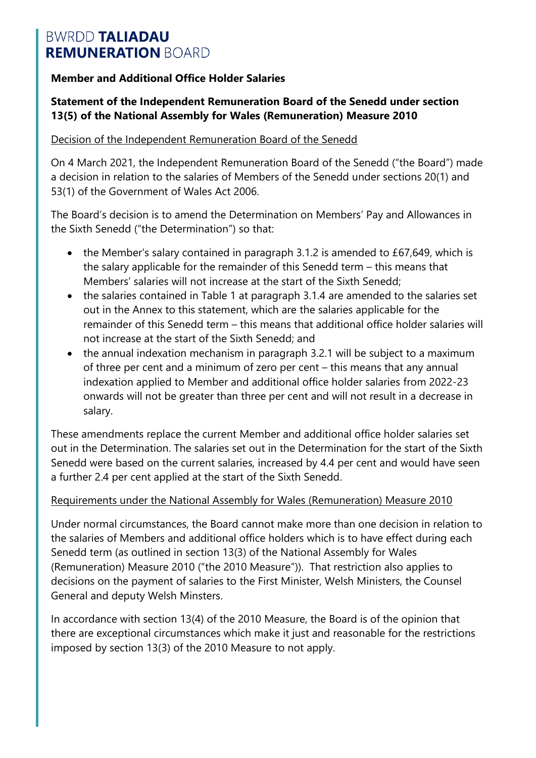#### **Member and Additional Office Holder Salaries**

#### **Statement of the Independent Remuneration Board of the Senedd under section 13(5) of the National Assembly for Wales (Remuneration) Measure 2010**

#### Decision of the Independent Remuneration Board of the Senedd

On 4 March 2021, the Independent Remuneration Board of the Senedd ("the Board") made a decision in relation to the salaries of Members of the Senedd under sections 20(1) and 53(1) of the Government of Wales Act 2006.

The Board's decision is to amend the Determination on Members' Pay and Allowances in the Sixth Senedd ("the Determination") so that:

- the Member's salary contained in paragraph 3.1.2 is amended to £67,649, which is the salary applicable for the remainder of this Senedd term – this means that Members' salaries will not increase at the start of the Sixth Senedd;
- the salaries contained in Table 1 at paragraph 3.1.4 are amended to the salaries set out in the Annex to this statement, which are the salaries applicable for the remainder of this Senedd term – this means that additional office holder salaries will not increase at the start of the Sixth Senedd; and
- the annual indexation mechanism in paragraph 3.2.1 will be subject to a maximum of three per cent and a minimum of zero per cent – this means that any annual indexation applied to Member and additional office holder salaries from 2022-23 onwards will not be greater than three per cent and will not result in a decrease in salary.

These amendments replace the current Member and additional office holder salaries set out in the Determination. The salaries set out in the Determination for the start of the Sixth Senedd were based on the current salaries, increased by 4.4 per cent and would have seen a further 2.4 per cent applied at the start of the Sixth Senedd.

#### Requirements under the National Assembly for Wales (Remuneration) Measure 2010

Under normal circumstances, the Board cannot make more than one decision in relation to the salaries of Members and additional office holders which is to have effect during each Senedd term (as outlined in section 13(3) of the National Assembly for Wales (Remuneration) Measure 2010 ("the 2010 Measure")). That restriction also applies to decisions on the payment of salaries to the First Minister, Welsh Ministers, the Counsel General and deputy Welsh Minsters.

In accordance with section 13(4) of the 2010 Measure, the Board is of the opinion that there are exceptional circumstances which make it just and reasonable for the restrictions imposed by section 13(3) of the 2010 Measure to not apply.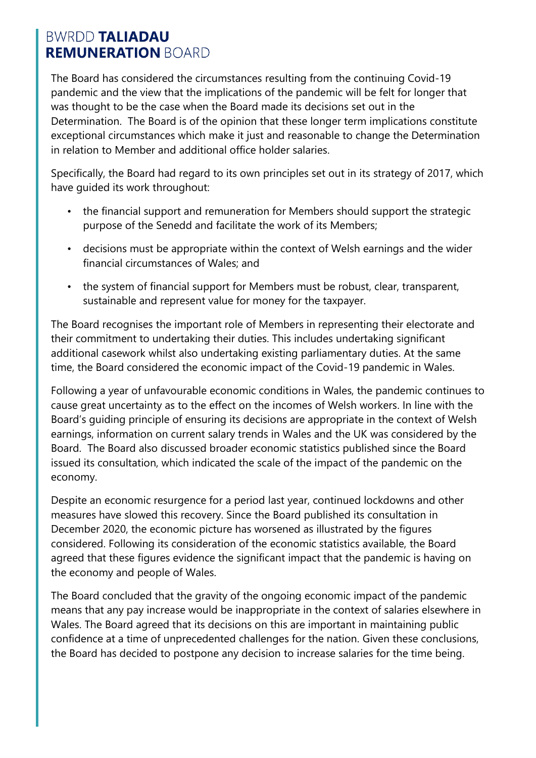The Board has considered the circumstances resulting from the continuing Covid-19 pandemic and the view that the implications of the pandemic will be felt for longer that was thought to be the case when the Board made its decisions set out in the Determination. The Board is of the opinion that these longer term implications constitute exceptional circumstances which make it just and reasonable to change the Determination in relation to Member and additional office holder salaries.

Specifically, the Board had regard to its own principles set out in its strategy of 2017, which have guided its work throughout:

- the financial support and remuneration for Members should support the strategic purpose of the Senedd and facilitate the work of its Members;
- decisions must be appropriate within the context of Welsh earnings and the wider financial circumstances of Wales; and
- the system of financial support for Members must be robust, clear, transparent, sustainable and represent value for money for the taxpayer.

The Board recognises the important role of Members in representing their electorate and their commitment to undertaking their duties. This includes undertaking significant additional casework whilst also undertaking existing parliamentary duties. At the same time, the Board considered the economic impact of the Covid-19 pandemic in Wales.

Following a year of unfavourable economic conditions in Wales, the pandemic continues to cause great uncertainty as to the effect on the incomes of Welsh workers. In line with the Board's guiding principle of ensuring its decisions are appropriate in the context of Welsh earnings, information on current salary trends in Wales and the UK was considered by the Board. The Board also discussed broader economic statistics published since the Board issued its consultation, which indicated the scale of the impact of the pandemic on the economy.

Despite an economic resurgence for a period last year, continued lockdowns and other measures have slowed this recovery. Since the Board published its consultation in December 2020, the economic picture has worsened as illustrated by the figures considered. Following its consideration of the economic statistics available, the Board agreed that these figures evidence the significant impact that the pandemic is having on the economy and people of Wales.

The Board concluded that the gravity of the ongoing economic impact of the pandemic means that any pay increase would be inappropriate in the context of salaries elsewhere in Wales. The Board agreed that its decisions on this are important in maintaining public confidence at a time of unprecedented challenges for the nation. Given these conclusions, the Board has decided to postpone any decision to increase salaries for the time being.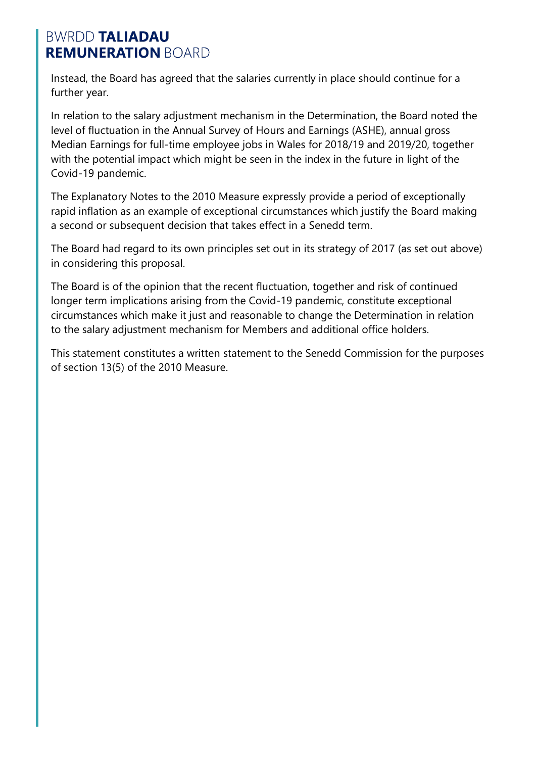Instead, the Board has agreed that the salaries currently in place should continue for a further year.

In relation to the salary adjustment mechanism in the Determination, the Board noted the level of fluctuation in the Annual Survey of Hours and Earnings (ASHE), annual gross Median Earnings for full-time employee jobs in Wales for 2018/19 and 2019/20, together with the potential impact which might be seen in the index in the future in light of the Covid-19 pandemic.

The Explanatory Notes to the 2010 Measure expressly provide a period of exceptionally rapid inflation as an example of exceptional circumstances which justify the Board making a second or subsequent decision that takes effect in a Senedd term.

The Board had regard to its own principles set out in its strategy of 2017 (as set out above) in considering this proposal.

The Board is of the opinion that the recent fluctuation, together and risk of continued longer term implications arising from the Covid-19 pandemic, constitute exceptional circumstances which make it just and reasonable to change the Determination in relation to the salary adjustment mechanism for Members and additional office holders.

This statement constitutes a written statement to the Senedd Commission for the purposes of section 13(5) of the 2010 Measure.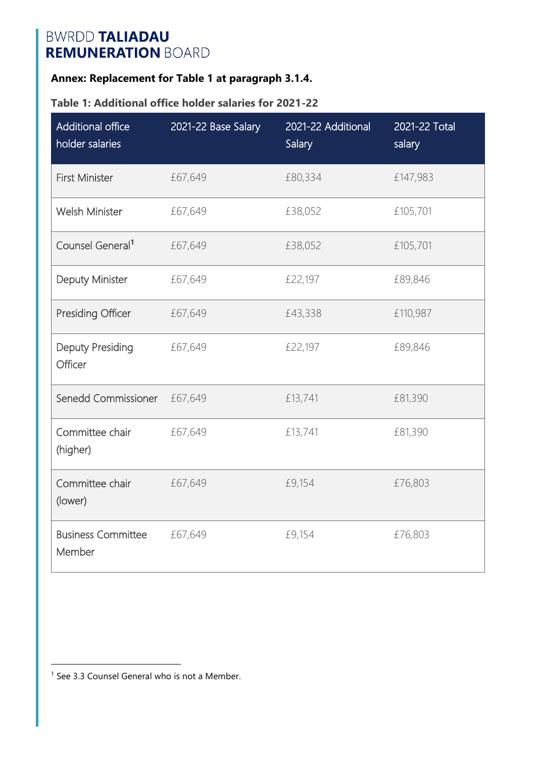### **Annex: Replacement for Table 1 at paragraph 3.1.4.**

#### **Table 1: Additional office holder salaries for 2021-22**

| Additional office<br>holder salaries | 2021-22 Base Salary | 2021-22 Additional<br>Salary | 2021-22 Total<br>salary |
|--------------------------------------|---------------------|------------------------------|-------------------------|
| <b>First Minister</b>                | £67,649             | £80,334                      | £147,983                |
| <b>Welsh Minister</b>                | £67,649             | £38,052                      | £105,701                |
| Counsel General <sup>1</sup>         | £67,649             | £38,052                      | £105,701                |
| Deputy Minister                      | £67,649             | £22,197                      | £89,846                 |
| <b>Presiding Officer</b>             | £67,649             | £43,338                      | £110,987                |
| <b>Deputy Presiding</b><br>Officer   | £67,649             | £22,197                      | £89,846                 |
| Senedd Commissioner                  | £67,649             | £13,741                      | £81,390                 |
| Committee chair<br>(higher)          | £67,649             | £13,741                      | £81,390                 |
| Committee chair<br>(lower)           | £67,649             | £9,154                       | £76,803                 |
| <b>Business Committee</b><br>Member  | £67,649             | £9,154                       | £76,803                 |

<sup>1</sup> See 3.3 Counsel General who is not a Member.